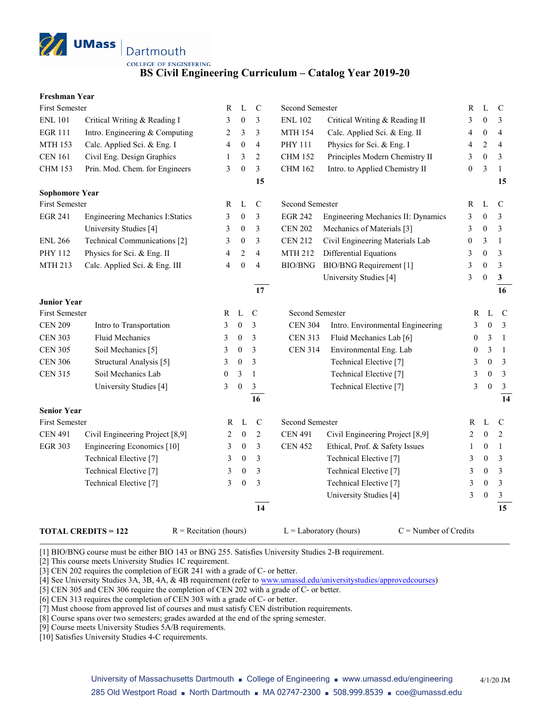

**BS Civil Engineering Curriculum – Catalog Year 2019-20**

## **Freshman Year**

| <b>First Semester</b> |                                         | R                | L                | $\mathcal{C}$           | Second Semester        |                                    | R                | L                | $\mathcal{C}$  |
|-----------------------|-----------------------------------------|------------------|------------------|-------------------------|------------------------|------------------------------------|------------------|------------------|----------------|
| <b>ENL 101</b>        | Critical Writing & Reading I            | 3                | $\mathbf{0}$     | 3                       | <b>ENL 102</b>         | Critical Writing & Reading II      | 3                | $\theta$         | 3              |
| <b>EGR 111</b>        | Intro. Engineering & Computing          | 2                | 3                | 3                       | <b>MTH 154</b>         | Calc. Applied Sci. & Eng. II       | 4                | $\boldsymbol{0}$ | $\overline{4}$ |
| <b>MTH 153</b>        | Calc. Applied Sci. & Eng. I             | 4                | $\boldsymbol{0}$ | $\overline{4}$          | PHY 111                | Physics for Sci. & Eng. I          | 4                | $\mathfrak{2}$   | 4              |
| <b>CEN 161</b>        | Civil Eng. Design Graphics              | $\mathbf{1}$     | 3                | $\sqrt{2}$              | <b>CHM 152</b>         | Principles Modern Chemistry II     | 3                | $\boldsymbol{0}$ | 3              |
| <b>CHM 153</b>        | Prin. Mod. Chem. for Engineers          | 3                | $\boldsymbol{0}$ | $\overline{\mathbf{3}}$ | <b>CHM 162</b>         | Intro. to Applied Chemistry II     | $\boldsymbol{0}$ | 3                | $\mathbf{1}$   |
|                       |                                         |                  |                  | 15                      |                        |                                    |                  |                  | 15             |
| <b>Sophomore Year</b> |                                         |                  |                  |                         |                        |                                    |                  |                  |                |
| <b>First Semester</b> |                                         | R                | L                | $\mathsf{C}$            | <b>Second Semester</b> |                                    | R                | L                | $\mathcal{C}$  |
| <b>EGR 241</b>        | <b>Engineering Mechanics I: Statics</b> | 3                | $\boldsymbol{0}$ | 3                       | <b>EGR 242</b>         | Engineering Mechanics II: Dynamics | 3                | $\overline{0}$   | 3              |
|                       | University Studies [4]                  | 3                | $\boldsymbol{0}$ | 3                       | <b>CEN 202</b>         | Mechanics of Materials [3]         | 3                | $\mathbf{0}$     | 3              |
| <b>ENL 266</b>        | Technical Communications [2]            | 3                | $\boldsymbol{0}$ | 3                       | <b>CEN 212</b>         | Civil Engineering Materials Lab    | 0                | 3                | $\mathbf{1}$   |
| PHY 112               | Physics for Sci. & Eng. II              | 4                | $\overline{2}$   | $\overline{4}$          | <b>MTH 212</b>         | Differential Equations             | 3                | $\theta$         | 3              |
| MTH 213               | Calc. Applied Sci. & Eng. III           | 4                | $\boldsymbol{0}$ | $\overline{4}$          | BIO/BNG                | <b>BIO/BNG</b> Requirement [1]     | 3                | $\theta$         | 3              |
|                       |                                         |                  |                  |                         |                        | University Studies [4]             | 3                | $\theta$         | $\mathbf{3}$   |
|                       |                                         |                  |                  | 17                      |                        |                                    |                  |                  | 16             |
| <b>Junior Year</b>    |                                         |                  |                  |                         |                        |                                    |                  |                  |                |
| <b>First Semester</b> |                                         | R                | L                | $\mathcal{C}$           | Second Semester        |                                    | $\mathbb{R}$     | L                | $\mathbf C$    |
| <b>CEN 209</b>        | Intro to Transportation                 | 3                | $\boldsymbol{0}$ | 3                       | <b>CEN 304</b>         | Intro. Environmental Engineering   | 3                | $\mathbf{0}$     | $\mathbf{3}$   |
| <b>CEN 303</b>        | Fluid Mechanics                         | 3                | $\boldsymbol{0}$ | 3                       | <b>CEN 313</b>         | Fluid Mechanics Lab [6]            | $\mathbf{0}$     | 3                | -1             |
| <b>CEN 305</b>        | Soil Mechanics [5]                      | 3                | $\boldsymbol{0}$ | 3                       | <b>CEN 314</b>         | Environmental Eng. Lab             | $\boldsymbol{0}$ | 3                | $\overline{1}$ |
| <b>CEN 306</b>        | Structural Analysis [5]                 | 3                | $\boldsymbol{0}$ | 3                       |                        | Technical Elective <sup>[7]</sup>  | 3                | $\mathbf{0}$     | $\mathfrak{Z}$ |
| <b>CEN 315</b>        | Soil Mechanics Lab                      | $\boldsymbol{0}$ | 3                | $\mathbf{1}$            |                        | Technical Elective [7]             | 3                | $\mathbf{0}$     | $\mathfrak{Z}$ |
|                       | University Studies [4]                  | 3                | $\boldsymbol{0}$ | $\mathfrak{Z}$          |                        | Technical Elective [7]             | 3                | $\mathbf{0}$     | $\mathfrak{Z}$ |
|                       |                                         |                  |                  | 16                      |                        |                                    |                  |                  | 14             |
| <b>Senior Year</b>    |                                         |                  |                  |                         |                        |                                    |                  |                  |                |
| First Semester        |                                         | R                | L                | $\mathbf C$             | Second Semester        |                                    | R                | L                | $\mathcal{C}$  |
| <b>CEN 491</b>        | Civil Engineering Project [8,9]         | 2                | $\mathbf{0}$     | $\mathfrak{2}$          | <b>CEN 491</b>         | Civil Engineering Project [8,9]    | 2                | $\mathbf{0}$     | 2              |
| <b>EGR 303</b>        | Engineering Economics [10]              | 3                | $\mathbf{0}$     | 3                       | <b>CEN 452</b>         | Ethical, Prof. & Safety Issues     | 1                | $\boldsymbol{0}$ | 1              |
|                       | Technical Elective <sup>[7]</sup>       | 3                | $\boldsymbol{0}$ | 3                       |                        | Technical Elective <sup>[7]</sup>  | 3                | $\boldsymbol{0}$ | 3              |
|                       | Technical Elective <sup>[7]</sup>       | 3                | $\boldsymbol{0}$ | 3                       |                        | Technical Elective <sup>[7]</sup>  | 3                | $\boldsymbol{0}$ | 3              |
|                       | Technical Elective <sup>[7]</sup>       | 3                | $\boldsymbol{0}$ | 3                       |                        | Technical Elective <sup>[7]</sup>  | 3                | $\boldsymbol{0}$ | 3              |
|                       |                                         |                  |                  |                         |                        | University Studies [4]             | 3                | $\boldsymbol{0}$ | $\mathfrak{Z}$ |
|                       |                                         |                  |                  | 14                      |                        |                                    |                  |                  | 15             |
|                       |                                         |                  |                  |                         |                        |                                    |                  |                  |                |

## **TOTAL CREDITS = 122** R = Recitation (hours) L = Laboratory (hours) C = Number of Credits

[1] BIO/BNG course must be either BIO 143 or BNG 255. Satisfies University Studies 2-B requirement.

[2] This course meets University Studies 1C requirement.

[3] CEN 202 requires the completion of EGR 241 with a grade of C- or better.

[4] See University Studies 3A, 3B, 4A, & 4B requirement (refer t[o www.umassd.edu/universitystudies/approvedcourses\)](http://www.umassd.edu/universitystudies/approvedcourses)

[5] CEN 305 and CEN 306 require the completion of CEN 202 with a grade of C- or better.

[6] CEN 313 requires the completion of CEN 303 with a grade of C- or better.

[7] Must choose from approved list of courses and must satisfy CEN distribution requirements.

[8] Course spans over two semesters; grades awarded at the end of the spring semester.

[9] Course meets University Studies 5A/B requirements.

[10] Satisfies University Studies 4-C requirements.